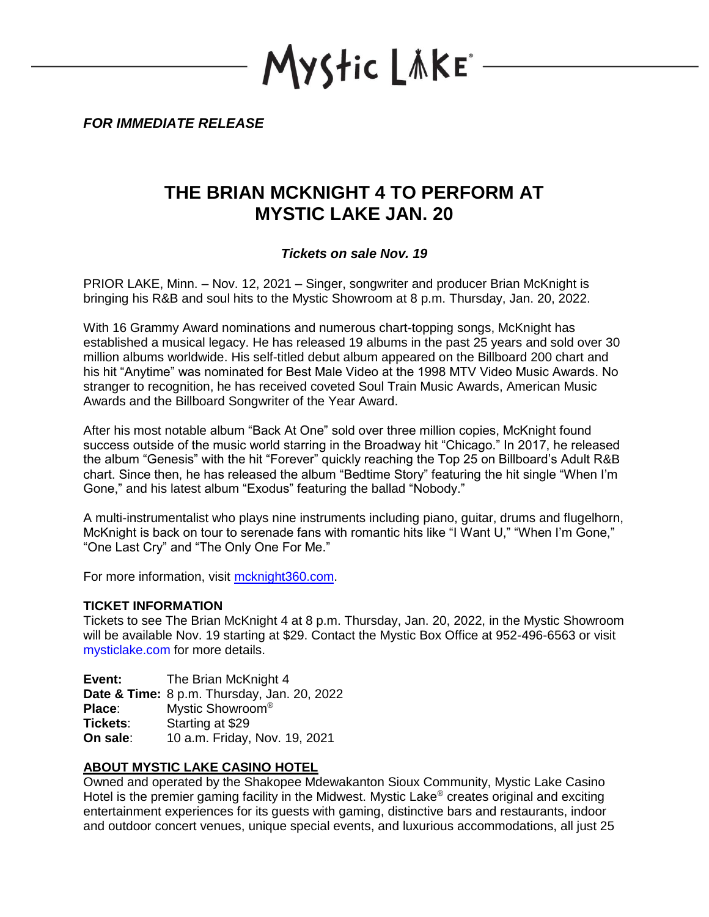Mystic LAKE\*

*FOR IMMEDIATE RELEASE*

# **THE BRIAN MCKNIGHT 4 TO PERFORM AT MYSTIC LAKE JAN. 20**

### *Tickets on sale Nov. 19*

PRIOR LAKE, Minn. – Nov. 12, 2021 – Singer, songwriter and producer Brian McKnight is bringing his R&B and soul hits to the Mystic Showroom at 8 p.m. Thursday, Jan. 20, 2022.

With 16 Grammy Award nominations and numerous chart-topping songs, McKnight has established a musical legacy. He has released 19 albums in the past 25 years and sold over 30 million albums worldwide. His self-titled debut album appeared on the Billboard 200 chart and his hit "Anytime" was nominated for Best Male Video at the 1998 MTV Video Music Awards. No stranger to recognition, he has received coveted Soul Train Music Awards, American Music Awards and the Billboard Songwriter of the Year Award.

After his most notable album "Back At One" sold over three million copies, McKnight found success outside of the music world starring in the Broadway hit "Chicago." In 2017, he released the album "Genesis" with the hit "Forever" quickly reaching the Top 25 on Billboard's Adult R&B chart. Since then, he has released the album "Bedtime Story" featuring the hit single "When I'm Gone," and his latest album "Exodus" featuring the ballad "Nobody."

A multi-instrumentalist who plays nine instruments including piano, guitar, drums and flugelhorn, McKnight is back on tour to serenade fans with romantic hits like "I Want U," "When I'm Gone," "One Last Cry" and "The Only One For Me."

For more information, visit mcknight360.com.

#### **TICKET INFORMATION**

Tickets to see The Brian McKnight 4 at 8 p.m. Thursday, Jan. 20, 2022, in the Mystic Showroom will be available Nov. 19 starting at \$29. Contact the Mystic Box Office at 952-496-6563 or visit mysticlake.com for more details.

**Event:** The Brian McKnight 4 **Date & Time:** 8 p.m. Thursday, Jan. 20, 2022 **Place:** Mystic Showroom<sup>®</sup> **Tickets**: Starting at \$29 **On sale**: 10 a.m. Friday, Nov. 19, 2021

## **ABOUT MYSTIC LAKE CASINO HOTEL**

Owned and operated by the Shakopee Mdewakanton Sioux Community, Mystic Lake Casino Hotel is the premier gaming facility in the Midwest. Mystic Lake<sup>®</sup> creates original and exciting entertainment experiences for its guests with gaming, distinctive bars and restaurants, indoor and outdoor concert venues, unique special events, and luxurious accommodations, all just 25